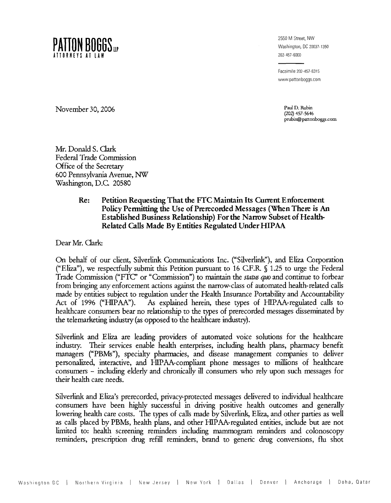

2550 M Street, NW Washington, DC 20037-1350 202-457-6000

Facsimile 202-457-6315 www.pattonboggs.com

> **(202) 457-5646**  prubin@pattonboggs.com

November 30, 2006 Paul D. Rubin Paul D. Rubin Paul D. Rubin Paul D. Rubin Paul D. Rubin Paul D. Rubin Paul D. Rubin Paul D. Rubin Paul D. Rubin Paul D. Rubin Paul D. Rubin Paul D. Rubin Paul D. Rubin Paul D. Rubin Paul D.

Mr. Donald S. Clark Federal Trade Commission Office of the Secretary 600 Pennsylvania Avenue, NW Washington, D.C 20580

#### **Re: Petition Requesting That the FTC Maintain Its Current Enfoxcement Policy Permitting the Use of Pnerecorded Messages (When There is An Established Business Relations hip) For the Narrow Subset of Health-Related Calls Made By Entities Regulated Under HIPAA**

Dear Mr. Clark:

On behalf of our client, Silverlink Communications Inc. ("Silverlink"), and Eliza Corporation ("Eliza"), we respectfully submit this Petition pursuant to 16 C.F.R.  $\int$  1.25 to urge the Federal Trade Commission ("FTC" or "Commission") to maintain the *status quo* and continue to forbear from bringing any enforcement actions against the narrow-class of automated health-related calls made by entities subject to regulation under the Health Insurance Portability and Accountability<br>Act of 1996 ("HIPAA"). As explained herein, these types of HIPAA-regulated calls to As explained herein, these types of HIPAA-regulated calls to healthcare consumers bear no relationship to the types of prerecorded messages disseminated by the telemarketing industry (as opposed to the healthcare industry).

Silverlink and Eliza are leading providers of automated voice solutions for the healthcare industry. Their services enable health enterprises, including health plans, pharmacy benefit managers ("PBMs"), specialty pharmacies, and disease management companies to deliver personalized, interactive, and HIPAA-compliant phone messages to millions of healthcare consumers - including elderly and chronically ill consumers who rely upon such messages for their health care needs.

Silverlink and Eliza's prerecorded, privacy-protected messages delivered to individual healthcare consumers have been highly successful in driving positive health outcomes and generally lowering health care costs. The types of calls made by Silverlink, Eliza, and other parties as well as calls placed by PBMs, health plans, and other HtPAA-regulated entities, include but are not limited to: health screening reminders includmg mammogram reminders and colonoscopy reminders, prescription **drug** refill reminders, brand to generic drug conversions, flu shot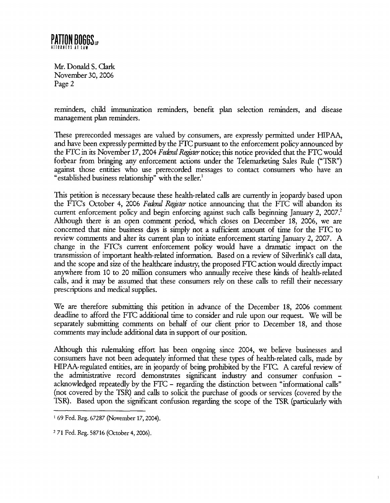

reminders, child immunization reminders, benefit plan selection reminders, and disease management plan reminders.

These prerecorded messages are valued by consumers, are expressly permitted under HIPAA, and have been expressly permitted by the FTC pursuant to the enforcement policy announced by the FTC in its November 17, 2004 *Federal Register* notice; this notice provided that the FTC would forbear from bringing any enforcement actions under the Telemarketing Sales Rule ("TSR") against those entities who use prerecorded messages to contact consumers who have an "established business relationship" with the seller.'

This petition is necessary because these health-related calls are currently in jeopardy based upon the FTC's October 4, 2006 *Federal Register* notice announcing that the FTC will abandon its current enforcement policy and begin enforcing against such calls beginning January 2, 2007.<sup>2</sup> Although there is an open comment period, which closes on December 18, 2006, we are concerned that nine business days is simply not a sufficient amount of time for the FTC to review comments and alter its current plan to initiate enforcement starting January 2, 2007. A change in the FTC's current enforcement policy would have a dramatic impact on the transmission of important health-related information. Based on a review of Silverlink's call data, and the scope and size of the healthcare industry, the proposed FTC action would directly impact anywhere from 10 to 20 million consumers who annually receive these **kinds** of health-related calls, and it may be assumed that these consumers rely on these calls to refill their necessary prescriptions and medical supplies.

We are therefore submitting this petition in advance of the December 18, 2006 comment deadline to afford the FTC additional time to consider and rule upon our request. We will be separately submitting comments on behalf of our client prior to December 18, and those comments may include additional data in support of our position.

Although this rulemaking effort has been ongoing since 2004, we believe businesses and consumers have not been adequately informed that these types of health-related calls, made by HIPAA-regulated entities, are in jeopardy of being prohibited by the FTC. A careful review of the administrative record demonstrates significant industry and consumer confusion acknowledged repeatedly by the FTC - regarding the distinction between "informational calls" (not covered by the TSR) and calls to solicit the purchase of goods or services (covered by the ISR). Based upon the significant confusion regarding the scope of the TSR (particularly with  $\sim$  ----------------------------

 $\mathbf{I}$ 

**<sup>1</sup>**69 Fed. Reg. 67287 (November 17,2004).

<sup>&</sup>lt;sup>2</sup> 71 Fed. Reg. 58716 (October 4, 2006).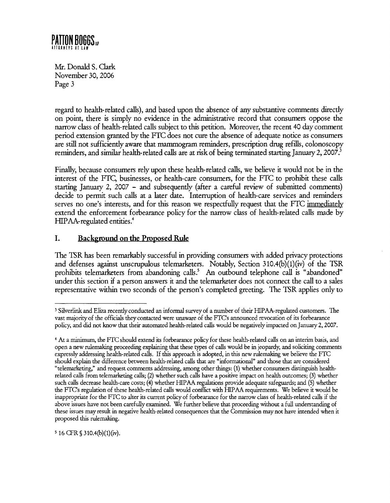

regard to health-related calls), and based upon the absence of any substantive comments directly on point, there is simply no evidence in the administrative record that consumers oppose the narrow class of health-related calls subject to this petition. Moreover, the recent 40 day comment period extension granted by the FTC does not cure the absence of adequate notice as consumers are still not sufficiently aware that mammogram reminders, prescription drug refills, colonoscopy reminders, and similar health-related calls are at risk of being terminated starting January 2, 2007.<sup>3</sup>

Finally, because consumers rely upon these health-related calls, we believe it would not be in the interest of the FTC, businesses, or health-care consurners, for the FTC to prohibit these calls starting January 2, 2007 - and subsequently (after a careful review of submitted comments) decide to permit such calls at a later date. Interruption of health-care services and reminders serves no one's interests, and for this reason we respectfully request that the FTC immediately extend the enforcement forbearance policy for the narrow class of health-related calls made by  $HPAA$ -regulated entities.<sup>4</sup>

## **I. Background on the Proposed Rule**

The TSR has been remarkably successful in providing consumers with added privacy protections and defenses against unscrupulous telemarketers. Notably, Section 310.4(b) $(1)(iv)$  of the TSR prohibits telemarketers from abandoning calls.<sup>5</sup> An outbound telephone call is "abandoned" under this section if a person answers it and the telemarketer does not connect the call to a sales representative within two seconds of the person's completed greeting. The TSR applies only to

<sup>5</sup> 16 CFR  $$310.4(b)(1)(iv)$ .

<sup>&</sup>lt;sup>3</sup> Silverlink and Eliza recently conducted an informal survey of a number of their HIPAA-regulated customers. The vast majority of the officials they contacted were unaware of the FTC's announced revocation of its forbearance policy, and did not know that their automated health-related calls would be negatively impacted on January 2,2007.

**At** a minimum, the FTC should extend its forbearance policy for these health-related calls on an interim basis, and open a new rulemaking proceeding explaining that these types of calls would be in jeopardy, and soliciting comments expressly addressing health-related calls. If this approach is adopted, in this new rulemaking we believe the FTC should explain the difference between health-related calls that are "informational" and those that are considered "telemarketing," and request comments addressing, among other things: **(1)** whether consumers distinguish healthrelated calls from telemarketing calls; (2) whether such calls have a positive impact on health outcomes; **(3)** whether such calls decrease health-care costs; (4) whether HIPAA regulations provide adequate safeguards; and (5) whether the FTC's regulation of these health-related calls would conflict with HIPAA requirements. We believe it would be inappropriate for the FTC to alter its current policy of forbearance for the narrow class of health-related calls if the above issues have not been carefully examined. We further believe that proceeding without a full understanding of these issues may result in negative health-related consequences that the Commission may not have intended when it proposed this rulemaking.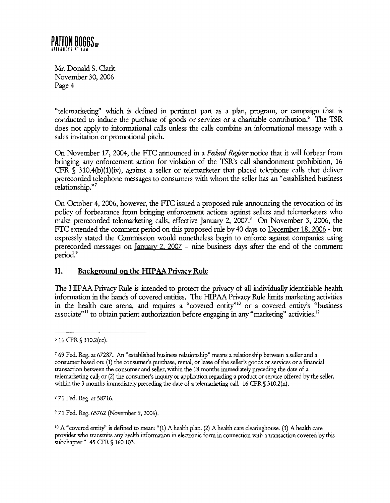

"telemarketing" which is defied in pertinent part as a plan, program, or campaign that is conducted to induce the purchase of goods or services or a charitable contribution.<sup>6</sup> The TSR does not apply to informational calls unless the calls combine an informational message with a sales invitation or promotional pitch.

**On** November 17,2004, the FTC announced in a *F&d Rqister* notice that it will forbear from bringing any enforcement action for violation of the TSR's call abandonment prohibition, 16 CFR  $\S$  310.4(b)(1)(iv), against a seller or telemarketer that placed telephone calls that deliver prerecorded telephone messages to consumers with whom the seller has an "established business relationship."7

**On** October 4,2006, however, the FTC issued a proposed rule announcing the revocation of its policy of forbearance from bringing enforcement actions against sellers and telemarketers who make prerecorded telemarketing calls, effective January 2, 2007.' **On** November **3,** 2006, the FTC extended the comment period on this proposed rule by40 days to December 18,2006 - but expressly stated the Commission would nonetheless begin to enforce against companies using prerecorded messages on January 2, <sup>2007</sup>- nine business days after the end of the comment period?

#### **11.** Background on the HIPAA Privacy Rule

The HIPAA Privacy Rule is intended to protect the privacy of all individually identifiable health information in the hands of covered entities. The HIPAA Privacy Rule limits marketing activities in the health care arena, and requires a "covered entity"<sup>10</sup> or a covered entity's "business associate<sup>"11</sup> to obtain patient authorization before engaging in any "marketing" activities.<sup>12</sup>

**<sup>8</sup>**71 Fed. Reg. at 58716.

9 71 Fed. Reg. 65762 (November 9,2006).

**<sup>6</sup>**16 **CFR** \$310.2(cc).

<sup>7</sup>69 Fed. Reg. at 67287. An "established business relationship" means a relationship between a seller and a consumer based on: (1) the consumer's purchase, rental, or lease of the seller's goods or services or a financial transaction between the consumer and seller, within the 18 months immediately preceding the date of a telemarketing call; or (2) the consumer's **inquiry** or application regarding a product or service offered by the seller, within the 3 months immediately preceding the date of a telemarketing call. 16 CFR § 310.2(n).

lo **A** "covered entity" is defined to mean: "(1) A health plan. (2) A health care clearinghouse. **(3)** A health care provider who transmits any health information in electronic form in connection with a transaction covered by this subchapter." 45 **CFR** \$160.103.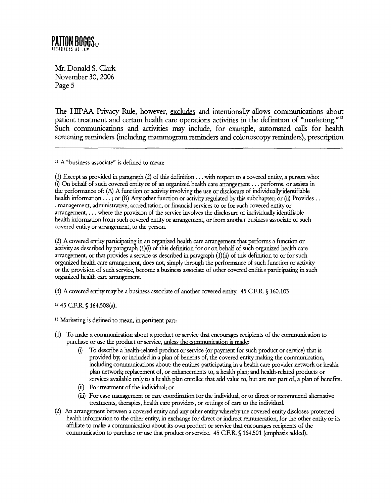# PATTON BOGGS...

Mr. Donald S. Clark November 30,2006 Page 5

The HIPAA Privacy Rule, however, excludes and intentionally allows communications about patient treatment and certain health care operations activities in the definition of "marketing."<sup>13</sup> Such communications and activities may include, for example, automated calls for health screening reminders (including mammogram reminders and colonoscopy reminders), prescription

 $11$  A "business associate" is defined to mean:

(1) Except as provided in paragraph **(2)** of this definition . . . with respect to a covered entity, a person who: (i) On behalf of such covered entity or of an organized health care arrangement . . . performs, or assists in the performance of: (A) A function or activity involving the use or disclosure of individually identifiable health information . . . ; or (B) **Any** other function or activity regulated by this subchapter; or (ii) Provides . . . management, administrative, accreditation, or financial services to or for such covered entity or arrangement, . . . where the provision of the service involves the disclosure of individually identifiable health information from such covered entity or arrangement, or from another business associate of such covered entity or arrangement, to the person.

(2) A covered entity participating in an organized health care arrangement that performs a function or activityas described by paragraph (l)(i) of this definition for or on behalf of such organized health care arrangement, or that provides a service as described in paragraph (l)(ii) of this definition to or for such organized health care arrangement, does not, simply through the performance of such function or activity or the provision of such service, become a business associate of other covered entities participating in such organized health care arrangement.

(3) A covered entity may be a business associate of another covered entity. 45 C.F.R. \$ 160.103

**l2** 45 C.F.R. \$ 164.508(a).

**13 Marketing** is defined to mean, in pertinent part:

- (1) To **make** a communication about a product or service that encourages recipients of the communication to purchase or use the product or service, unless the communication is made:
	- **(ij** To describe a health-related product or service (or payment for such product or service) that is provided by, or included in a plan of benefits of, the covered entity **rnakmg** the communication, including communications about: the entities participating in a health care provider network or health plan network; replacement of, or enhancements to, a health plan; and health-related products or services available only to a health plan enrollee that add value to, but are not part of, a plan of benefits.
	- **(ii)** For treatment of the individual; or
	- (iii) For case management or care coordination for the individual, or to direct or recommend alternative treatments, therapies, health care providers, or settings of care to the individual.
- (2) An arrangement between a covered entity and any other entity whereby the covered entity discloses protected health information to the other entity, in exchange for direct or indirect remuneration, for the other entity or its affiliate to **make** a communication about its own product or service that encourages recipients of the communication to purchase or use that product or service. 45 CF.R \$164.501 (emphasis added).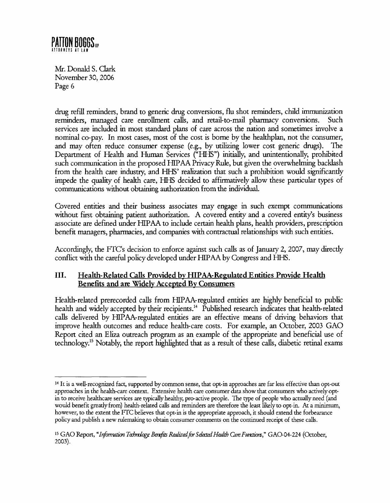

**drug** refill reminders, brand to generic drug conversions, flu shot reminders, child immunization rermnders, managed care enrollment calls, and retail-to-mail pharmacy conversions. Such services are included in most standard plans of care across the nation and sometimes involve a nominal co-pay. In most cases, most of the cost is borne by the healthplan, not the consumer, and may often reduce consumer expense (e.g., by utilizing lower cost generic drugs). The Department of Health and Human Services ("HHS") initially, and unintentionally, prohibited such communication in the proposed HIPAA Privacy Rule, but given the overwhelming backlash from the health care industry, and HHS' realization that such a prohibition would significantly impede the quality of health care, HHS decided to affirmatively allow these particular types of communications without obtaining authorization from the individual.

Covered entities and their business associates may engage in such exempt communications without first obtaining patient authorization. A covered entity and a covered entity's business associate are defined under HIPAA to include certain health plans, health providers, prescription benefit managers, pharmacies, and companies with contractual relationships with such entities.

Accordingly, the FTC's decision to enforce against such calls as of January 2, 2007, may directly conflict with the careful policy developed under HIPAA by Congress and HHS.

### **111. Health-Related Calls Provided by HIPAA-Regulated Entities Pmvide Health Benefits and are Widely Accepted By Consumers**

Health-related prerecorded calls from HIPAA-regulated entities are highly beneficial to public health and widely accepted by their recipients.<sup>14</sup> Published research indicates that health-related calls delivered by HIPAA-regulated entities are an effective means of driving behaviors that improve health outcomes and reduce health-care costs. For example, an October, 2003 GAO Report cited an **Eliza** outreach program as an example of the appropriate and beneficial use of technology.'5 Notably, the report highlighted that as a result of these calls, diabetic retinal exams

**<sup>&#</sup>x27;4** It is a well-recognized fact, supported by common sense, that opt-in approaches are far less effective than opt-out approaches in the health-care context. Extensive health care consumer data show that consumers who actively optin to receive healthcare services are typically healthy, pro-active people. The type of people who actually need (and would benefit greatly from) health-related calls and reminders are therefore the least likelyto opt-in. At a minimum, however, to the extent the FTC believes that opt-in is the appropriate approach, it should extend the forbearance policy and publish a new rulemaking to obtain consumer comments on the continued receipt of these calls.

<sup>15</sup> GAO Report, "Information Technology Benefits Realized for Selected Health Care Functions," GAO-04-224 (October, 2003).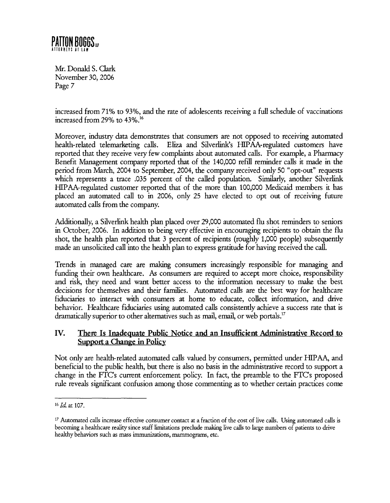#### **PATTON BOGGS** IRNĒYS ATĪLĀM

Mr. Donald S. Clark November 30,2006 Page 7

increased from 71% to 93%, and the rate of adolescents receiving a full schedule of vaccinations increased from 29% to 43%.<sup>16</sup>

Moreover, industry data demonstrates that consumers are not opposed to receiving automated health-related telemarketing calls. **Eliza** and Silverlink's HIPAA-regulated customers have reported that they receive very few complaints about automated calls. For example, a Pharmacy Benefit Management company reported that of the 140,000 refill reminder calls it made in the period from March, 2004 to September, 2004, the company received only 50 "opt-out" requests which represents a trace .035 percent of the called population. Similarly, another Silverlink HIPAA-regulated customer reported that of the more than 100,000 Medicaid members it has placed an automated call to in 2006, only 25 have elected to opt out of receiving future automated calls from the company.

Additionally, a Silverlink health plan placed over 29,000 automated flu shot reminders to seniors in October, 2006. In addition to being very effective in encouraging recipients to obtain the flu shot, the health plan reported that 3 percent of recipients (roughly 1,000 people) subsequently made an unsolicited call into the health plan to express gratitude for having received the call.

Trends in managed care are *makmg* consumers increasingly responsible for managing and funding their own healthcare. As consumers are required to accept more choice, responsibility and **risk,** they need and want better access to the information necessary to make the best decisions for themselves and their families. Automated calls are the best way for healthcare fiduciaries to interact with consumers at home to educate, collect information, and drive behavior. Healthcare fiduciaries using automated calls consistently achieve a success rate that is dramatically superior to other alternatives such as mail, email, or web portals.<sup>17</sup>

### **IV.** There Is Inadequate Public Notice and an Insufficient Administrative Record to **Support a Change in Policy**

Not only are health-related automated calls valued by consumers, permitted under HIPAA, and beneficial to the public health, but there is also no basis in the administrative record to support a change in the FTC's current enforcement policy. In fact, the preamble to the FTC's proposed rule reveals significant confusion among those commenting as to whether certain practices come

 $16$  *Id.* at 107.

<sup>&#</sup>x27;7 Automated calls increase effective consumer contact at a fraction of the cost of live calls. Using automated calls is becoming a healthcare reality since staff limitations preclude making live calls to large numbers of patients to drive healthy behaviors such as mass immunizations, mammograms, etc.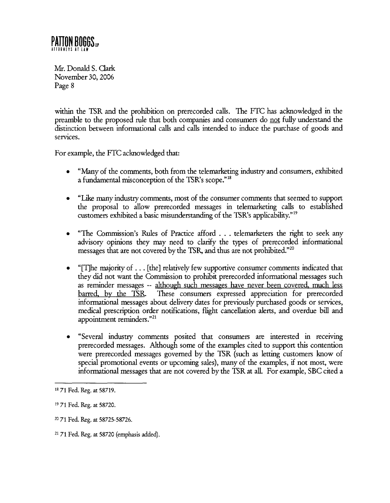# **PATTON BOGGS**

Mr. Donald S. Clark November 30,2006 Page 8

within the TSR and the prohibition on prerecorded calls. The **FTC** has acknowledged in the preamble to the proposed rule that both companies and consumers do not fully understand the distinction between informational calls and calls intended to induce the purchase of goods and services.

For example, the **FTC** acknowledged that:

- "Many of the comments, both from the telemarketing industry and consumers, exhibited a fundamental misconception of the TSR's scope."<sup>18</sup>
- "Like many industry comments, most of the consumer comments that seemed to support  $\bullet$ the proposal to allow prerecorded messages in telemarketing calls to established customers exhibited a basic misunderstanding of the TSR's applicability."19
- "The Commission's Rules of Practice afford . . . telemarketers the right to seek any advisory opinions they may need to clanfy the types of prerecorded informational messages that are not covered by the TSR, and thus are not prohibited."<sup>20</sup>
- "[The majority of  $\dots$  [the] relatively few supportive consumer comments indicated that  $\bullet$ they did not want the Commission to prohibit prerecorded informational messages such as reminder messages -- although such messages have never been covered, much less barred. by the TSR These consumers expressed appreciation for prerecorded informational messages about delivery dates for previously purchased goods or services, medical prescription order notifications, fhght cancellation alerts, and overdue bill and appointment reminders."<sup>21</sup>
- "Several industry comments posited that consumers are interested in receiving  $\bullet$ prerecorded messages. Although some of the examples cited to support this contention were prerecorded messages governed by the TSR (such as letting customers know of special promotional events or upcoming sales), many of the examples, if not most, were informational messages that are not covered by the TSR at all. For example, **SBC** cited a

**<sup>18</sup>**71 Fed. **Reg.** at 58719.

**<sup>19</sup>**71 Fed. Reg. at 58720.

<sup>20</sup>71 Fed. **Reg.** at 58725-58726.

<sup>71</sup> Fed. **Reg.** at 58720 (emphasis added).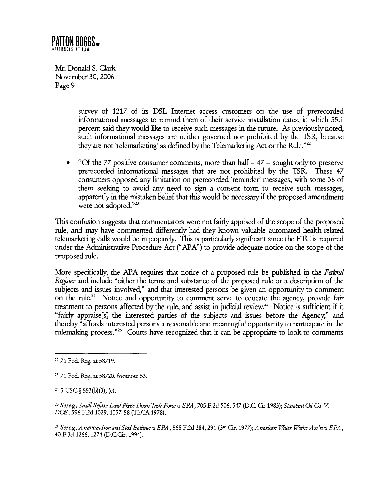### **PATTON BOGGS** ... **RAFYS AT TAW**

Mr. Donald S. Clark November 30,2006 Page 9

> survey of 1217 of its DSL Internet access customers on the use of prerecorded informational messages to remind them of their service installation dates, in which 55.1 percent said they would like to receive such messages in the future. As previously noted, such informational messages are neither governed nor prohibited by the **?SR,** because they are not 'telemarketing' as defined by the Telemarketing Act or the Rule."22

"Of the 77 positive consumer comments, more than half  $-47$  - sought only to preserve  $\bullet$ prerecorded informational messages that are not prohibited by the TSR These 47 consumers opposed any limitation on prerecorded 'reminder' messages, with some 36 of them seeking to avoid any need to sign a consent form to receive such messages, apparently in the mistaken belief that this would be necessary if the proposed amendment were not adopted."<sup>23</sup>

This confusion suggests that commentators were not fairly apprised of the scope of the proposed rule, and may have commented differently had they known valuable automated health-related telemarketing calls would be in jeopardy. This is particularly significant since the FTC is required under the Administrative Procedure Act ("APA") to provide adequate notice on the scope of the proposed rule.

More specifically, the APA requires that notice of a proposed rule be published in the *Federal Rqster* and include "either the terms and substance of the proposed rule or a description of the subjects and issues involved," and that interested persons be given an opportunity to comment on the rule.<sup>24</sup> Notice and opportunity to comment serve to educate the agency, provide fair treatment to persons affected by the rule, and assist in judicial review.<sup>25</sup> Notice is sufficient if it "fairly appraise[s] the interested parties of the subjects and issues before the Agency," and thereby "affords interested persons a reasonable and meaningful opportunity to participate in the rulemaking process."26 **Courts** have recognized that it can be appropriate to look to comments

<sup>22</sup>71 Fed. Reg. at 58719.

**<sup>23</sup>**71 Fed. Reg. at 58720, footnote 53.

 $24\,5$  USC  $$553(b)(3)$ , (c).

<sup>&</sup>lt;sup>25</sup> See e.g., Small Refiner Lead Phase Down Task Force v EPA, 705 F.2d 506, 547 (D.C. Cir 1983); Standard Oil Co. V. DOE, 596 F.2d 1029,1057-58 (TECA 1978).

<sup>&</sup>lt;sup>26</sup> Sœ eg, *A merican Iron and Steel Institute* u EPA , 568 F.2d 284, 291 (3<sup>rd</sup> Cir. 1977); A merican Water Works Ass'n u EPA ,<br>40 F.3d 1266, 1274 (D.C.Cir. 1994).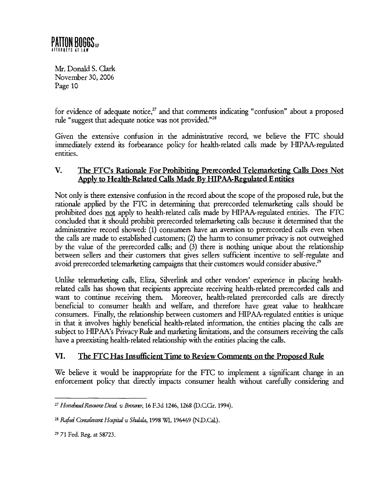for evidence of adequate notice, $2<sup>7</sup>$  and that comments indicating "confusion" about a proposed rule "suggest that adequate notice was not provided."<sup>28</sup>

Given the extensive confusion in the administrative record, we believe the **FTC** should immediately extend its forbearance policy for health-related calls made by HIPAA-regulated entities.

### **V. The FTCs Rationale For Prohibiting Prerecorded Telemarketing Calls Does Not**  Apply to Health-Related Calls Made By HIPAA-Regulated Entities

Not only is there extensive confusion in the record about the scope of the proposed rule, but the rationale applied by the **FTC** in determining that prerecorded telemarketing calls should be prohibited does not apply to health-related calls made by HIPAA-regulated entities. The **FTC**  concluded that it should prohibit prerecorded telemarketing calls because it determined that the administrative record showed: (1) consumers have an aversion to prerecorded calls even when the calls are made to established customers; (2) the harm to consumer privacy is not outweighed by the value of the prerecorded calls; and **(3)** there is nodung unique about the relationship between sellers and their customers that gives sellers sufficient incentive to self-regulate and avoid prerecorded telemarketing campaigns that their customers would consider abusive.<sup>29</sup>

Unlike telemarketing calls, **Eliza,** Silverlink and other vendors' experience in placing healthrelated calls has shown that recipients appreciate receiving health-related prerecorded calls and want to continue receiving them. Moreover, health-related prerecorded calls are directly beneficial to consumer health and welfare, and therefore have great value to healthcare consumers. Finally, the relationship between customers and HIPAA-regulated entities is unique in that it involves highly beneficial health-related information, the entities placing the calls are subject to HIPAA's Privacy Rule and marketing limitations, and the consumers receiving the calls have a preexisting health-related relationship with the entities placing the calls.

## **VI. The FTC Has Insufficient Time to Review Comments on the Proposed Rule**

We believe it would be inappropriate for the FTC to implement a significant change in an enforcement policy that directly impacts consumer health without carefully considering and

<sup>&</sup>lt;sup>27</sup> Horsehead Resource Devel. *u Brouner*, 16 F.3d 1246, 1268 (D.C.Cir. 1994).

<sup>&</sup>lt;sup>28</sup> Rafael Convalescent Hospital v Shalala, 1998 WL 196469 (N.D.Cal.).

<sup>29</sup> 71 Fed. Reg. at 58723.